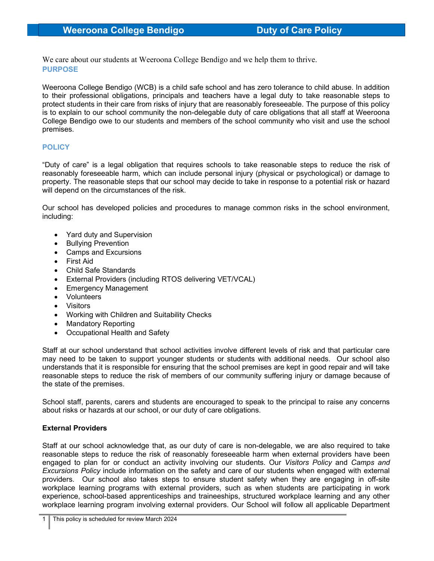We care about our students at Weeroona College Bendigo and we help them to thrive. PURPOSE

Weeroona College Bendigo (WCB) is a child safe school and has zero tolerance to child abuse. In addition to their professional obligations, principals and teachers have a legal duty to take reasonable steps to protect students in their care from risks of injury that are reasonably foreseeable. The purpose of this policy is to explain to our school community the non-delegable duty of care obligations that all staff at Weeroona College Bendigo owe to our students and members of the school community who visit and use the school premises.

## **POLICY**

"Duty of care" is a legal obligation that requires schools to take reasonable steps to reduce the risk of reasonably foreseeable harm, which can include personal injury (physical or psychological) or damage to property. The reasonable steps that our school may decide to take in response to a potential risk or hazard will depend on the circumstances of the risk.

Our school has developed policies and procedures to manage common risks in the school environment, including:

- Yard duty and Supervision
- Bullying Prevention
- Camps and Excursions
- First Aid
- Child Safe Standards
- External Providers (including RTOS delivering VET/VCAL)
- Emergency Management
- Volunteers
- Visitors
- Working with Children and Suitability Checks
- Mandatory Reporting
- Occupational Health and Safety

Staff at our school understand that school activities involve different levels of risk and that particular care may need to be taken to support younger students or students with additional needs. Our school also understands that it is responsible for ensuring that the school premises are kept in good repair and will take reasonable steps to reduce the risk of members of our community suffering injury or damage because of the state of the premises.

School staff, parents, carers and students are encouraged to speak to the principal to raise any concerns about risks or hazards at our school, or our duty of care obligations.

## External Providers

Staff at our school acknowledge that, as our duty of care is non-delegable, we are also required to take reasonable steps to reduce the risk of reasonably foreseeable harm when external providers have been engaged to plan for or conduct an activity involving our students. Our Visitors Policy and Camps and Excursions Policy include information on the safety and care of our students when engaged with external providers. Our school also takes steps to ensure student safety when they are engaging in off-site workplace learning programs with external providers, such as when students are participating in work experience, school-based apprenticeships and traineeships, structured workplace learning and any other workplace learning program involving external providers. Our School will follow all applicable Department